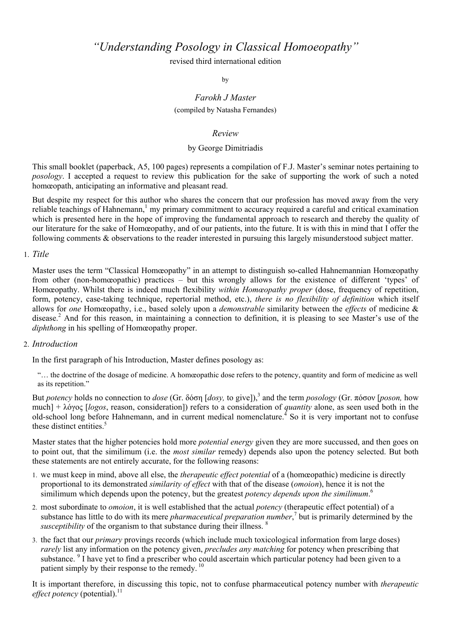*"Understanding Posology in Classical Homoeopathy"* 

revised third international edition

by

# *Farokh J Master*  (compiled by Natasha Fernandes)

# *Review*

# by George Dimitriadis

This small booklet (paperback, A5, 100 pages) represents a compilation of F.J. Master's seminar notes pertaining to *posology*. I accepted a request to review this publication for the sake of supporting the work of such a noted homœopath, anticipating an informative and pleasant read.

But despite my respect for this author who shares the concern that our profession has moved away from the very reliable teachings of Hahnemann,<sup>1</sup> my primary commitment to accuracy required a careful and critical examination which is presented here in the hope of improving the fundamental approach to research and thereby the quality of our literature for the sake of Homœopathy, and of our patients, into the future. It is with this in mind that I offer the following comments & observations to the reader interested in pursuing this largely misunderstood subject matter.

### 1. *Title*

Master uses the term "Classical Homœopathy" in an attempt to distinguish so-called Hahnemannian Homœopathy from other (non-homœopathic) practices – but this wrongly allows for the existence of different 'types' of Homœopathy. Whilst there is indeed much flexibility *within Homœopathy proper* (dose, frequency of repetition, form, potency, case-taking technique, repertorial method, etc.), *there is no flexibility of definition* which itself allows for *one* Homœopathy, i.e., based solely upon a *demonstrable* similarity between the *effects* of medicine & disease.<sup>2</sup> And for this reason, in maintaining a connection to definition, it is pleasing to see Master's use of the *diphthong* in his spelling of Homœopathy proper.

## 2. *Introduction*

In the first paragraph of his Introduction, Master defines posology as:

"… the doctrine of the dosage of medicine. A homœopathic dose refers to the potency, quantity and form of medicine as well as its repetition."

But *potency* holds no connection to *dose* (Gr. δόση [*dosy,* to give]),3 and the term *posology* (Gr. πόσον [*poson,* how much] + λόγος [*logos*, reason, consideration]) refers to a consideration of *quantity* alone, as seen used both in the old-school long before Hahnemann, and in current medical nomenclature.<sup>4</sup> So it is very important not to confuse these distinct entities.<sup>5</sup>

Master states that the higher potencies hold more *potential energy* given they are more succussed, and then goes on to point out, that the similimum (i.e. the *most similar* remedy) depends also upon the potency selected. But both these statements are not entirely accurate, for the following reasons:

- 1. we must keep in mind, above all else, the *therapeutic effect potential* of a (homœopathic) medicine is directly proportional to its demonstrated *similarity of effect* with that of the disease (*omoion*), hence it is not the similimum which depends upon the potency, but the greatest *potency depends upon the similimum*. 6
- 2. most subordinate to *omoion*, it is well established that the actual *potency* (therapeutic effect potential) of a substance has little to do with its mere *pharmaceutical preparation number*,<sup>7</sup> but is primarily determined by the *susceptibility* of the organism to that substance during their illness. <sup>8</sup>
- 3. the fact that our *primary* provings records (which include much toxicological information from large doses) *rarely* list any information on the potency given, *precludes any matching* for potency when prescribing that substance. <sup>9</sup> I have yet to find a prescriber who could ascertain which particular potency had been given to a patient simply by their response to the remedy.<sup>10</sup>

It is important therefore, in discussing this topic, not to confuse pharmaceutical potency number with *therapeutic effect potency* (potential).<sup>11</sup>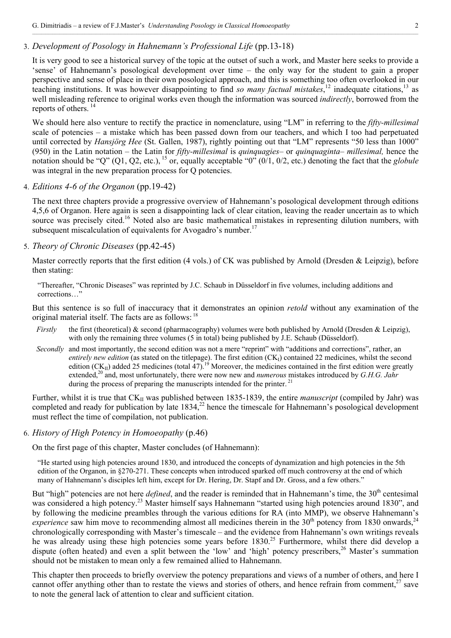# 3. *Development of Posology in Hahnemann's Professional Life* (pp.13-18)

It is very good to see a historical survey of the topic at the outset of such a work, and Master here seeks to provide a 'sense' of Hahnemann's posological development over time – the only way for the student to gain a proper perspective and sense of place in their own posological approach, and this is something too often overlooked in our teaching institutions. It was however disappointing to find *so many factual mistakes*, 12 inadequate citations,13 as well misleading reference to original works even though the information was sourced *indirectly*, borrowed from the reports of others. 14

We should here also venture to rectify the practice in nomenclature, using "LM" in referring to the *fifty-millesimal* scale of potencies – a mistake which has been passed down from our teachers, and which I too had perpetuated until corrected by *Hansjörg Hee* (St. Gallen, 1987), rightly pointing out that "LM" represents "50 less than 1000" (950) in the Latin notation – the Latin for *fifty-millesimal* is *quinquagies*– or *quinquaginta*– *millesimal,* hence the notation should be "Q" (Q1, Q2, etc.), <sup>15</sup> or, equally acceptable "0" (0/1, 0/2, etc.) denoting the fact that the *globule* was integral in the new preparation process for O potencies.

### 4. *Editions 4-6 of the Organon* (pp.19-42)

The next three chapters provide a progressive overview of Hahnemann's posological development through editions 4,5,6 of Organon. Here again is seen a disappointing lack of clear citation, leaving the reader uncertain as to which source was precisely cited.<sup>16</sup> Noted also are basic mathematical mistakes in representing dilution numbers, with subsequent miscalculation of equivalents for Avogadro's number.<sup>17</sup>

### 5. *Theory of Chronic Diseases* (pp.42-45)

Master correctly reports that the first edition (4 vols.) of CK was published by Arnold (Dresden & Leipzig), before then stating:

"Thereafter, "Chronic Diseases" was reprinted by J.C. Schaub in Düsseldorf in five volumes, including additions and corrections…"

But this sentence is so full of inaccuracy that it demonstrates an opinion *retold* without any examination of the original material itself. The facts are as follows: 18

- *Firstly* the first (theoretical) & second (pharmacography) volumes were both published by Arnold (Dresden & Leipzig), with only the remaining three volumes (5 in total) being published by J.E. Schaub (Düsseldorf).
- *Secondly* and most importantly, the second edition was not a mere "reprint" with "additions and corrections", rather, an entirely new edition (as stated on the titlepage). The first edition (CK<sub>I</sub>) contained 22 medicines, whilst the second edition (CK<sub>II</sub>) added 25 medicines (total 47).<sup>19</sup> Moreover, the medicines contained in the first edition were greatly extended,<sup>20</sup> and, most unfortunately, there were now new and *numerous* mistakes introduced by *G.H.G. Jahr* during the process of preparing the manuscripts intended for the printer.<sup>21</sup>

Further, whilst it is true that CK<sub>II</sub> was published between 1835-1839, the entire *manuscript* (compiled by Jahr) was completed and ready for publication by late  $1834<sup>22</sup>$  hence the timescale for Hahnemann's posological development must reflect the time of compilation, not publication.

6. *History of High Potency in Homoeopathy* (p.46)

On the first page of this chapter, Master concludes (of Hahnemann):

"He started using high potencies around 1830, and introduced the concepts of dynamization and high potencies in the 5th edition of the Organon, in §270-271. These concepts when introduced sparked off much controversy at the end of which many of Hahnemann's disciples left him, except for Dr. Hering, Dr. Stapf and Dr. Gross, and a few others."

But "high" potencies are not here *defined*, and the reader is reminded that in Hahnemann's time, the 30<sup>th</sup> centesimal was considered a high potency.<sup>23</sup> Master himself says Hahnemann "started using high potencies around 1830", and by following the medicine preambles through the various editions for RA (into MMP), we observe Hahnemann's *experience* saw him move to recommending almost all medicines therein in the  $30<sup>th</sup>$  potency from 1830 onwards,  $2<sup>4</sup>$ chronologically corresponding with Master's timescale – and the evidence from Hahnemann's own writings reveals he was already using these high potencies some years before 1830.<sup>25</sup> Furthermore, whilst there did develop a dispute (often heated) and even a split between the 'low' and 'high' potency prescribers,<sup>26</sup> Master's summation should not be mistaken to mean only a few remained allied to Hahnemann.

This chapter then proceeds to briefly overview the potency preparations and views of a number of others, and here I cannot offer anything other than to restate the views and stories of others, and hence refrain from comment.<sup>27</sup> save to note the general lack of attention to clear and sufficient citation.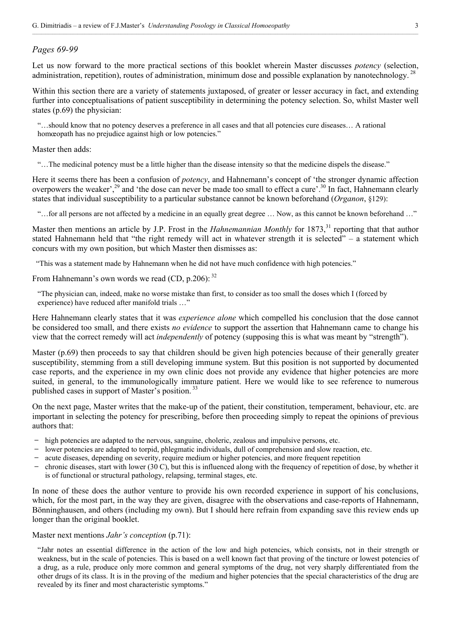### *Pages 69-99*

Let us now forward to the more practical sections of this booklet wherein Master discusses *potency* (selection, administration, repetition), routes of administration, minimum dose and possible explanation by nanotechnology.<sup>28</sup>

Within this section there are a variety of statements juxtaposed, of greater or lesser accuracy in fact, and extending further into conceptualisations of patient susceptibility in determining the potency selection. So, whilst Master well states (p.69) the physician:

"…should know that no potency deserves a preference in all cases and that all potencies cure diseases… A rational homœopath has no prejudice against high or low potencies."

Master then adds:

"…The medicinal potency must be a little higher than the disease intensity so that the medicine dispels the disease."

Here it seems there has been a confusion of *potency*, and Hahnemann's concept of 'the stronger dynamic affection overpowers the weaker',<sup>29</sup> and 'the dose can never be made too small to effect a cure'.<sup>30</sup> In fact, Hahnemann clearly states that individual susceptibility to a particular substance cannot be known beforehand (*Organon*, §129):

"…for all persons are not affected by a medicine in an equally great degree … Now, as this cannot be known beforehand …"

Master then mentions an article by J.P. Frost in the *Hahnemannian Monthly* for 1873,<sup>31</sup> reporting that that author stated Hahnemann held that "the right remedy will act in whatever strength it is selected" – a statement which concurs with my own position, but which Master then dismisses as:

"This was a statement made by Hahnemann when he did not have much confidence with high potencies."

From Hahnemann's own words we read (CD, p.206): 32

"The physician can, indeed, make no worse mistake than first, to consider as too small the doses which I (forced by experience) have reduced after manifold trials …"

Here Hahnemann clearly states that it was *experience alone* which compelled his conclusion that the dose cannot be considered too small, and there exists *no evidence* to support the assertion that Hahnemann came to change his view that the correct remedy will act *independently* of potency (supposing this is what was meant by "strength").

Master (p.69) then proceeds to say that children should be given high potencies because of their generally greater susceptibility, stemming from a still developing immune system. But this position is not supported by documented case reports, and the experience in my own clinic does not provide any evidence that higher potencies are more suited, in general, to the immunologically immature patient. Here we would like to see reference to numerous published cases in support of Master's position.<sup>33</sup>

On the next page, Master writes that the make-up of the patient, their constitution, temperament, behaviour, etc. are important in selecting the potency for prescribing, before then proceeding simply to repeat the opinions of previous authors that:

- ̶ high potencies are adapted to the nervous, sanguine, choleric, zealous and impulsive persons, etc.
- ̶ lower potencies are adapted to torpid, phlegmatic individuals, dull of comprehension and slow reaction, etc.
- ̶ acute diseases, depending on severity, require medium or higher potencies, and more frequent repetition
- ̶ chronic diseases, start with lower (30 C), but this is influenced along with the frequency of repetition of dose, by whether it is of functional or structural pathology, relapsing, terminal stages, etc.

In none of these does the author venture to provide his own recorded experience in support of his conclusions, which, for the most part, in the way they are given, disagree with the observations and case-reports of Hahnemann, Bönninghausen, and others (including my own). But I should here refrain from expanding save this review ends up longer than the original booklet.

### Master next mentions *Jahr's conception* (p.71):

"Jahr notes an essential difference in the action of the low and high potencies, which consists, not in their strength or weakness, but in the scale of potencies. This is based on a well known fact that proving of the tincture or lowest potencies of a drug, as a rule, produce only more common and general symptoms of the drug, not very sharply differentiated from the other drugs of its class. It is in the proving of the medium and higher potencies that the special characteristics of the drug are revealed by its finer and most characteristic symptoms."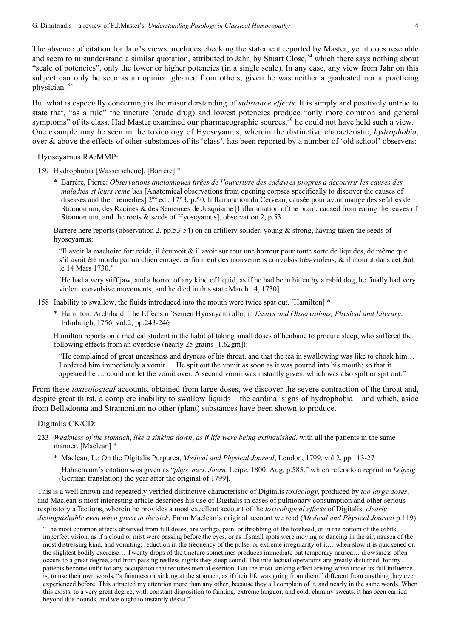The absence of citation for Jahr's views precludes checking the statement reported by Master, yet it does resemble and seem to misunderstand a similar quotation, attributed to Jahr, by Stuart Close,<sup>34</sup> which there says nothing about "scale of potencies", only the lower or higher potencies (in a single scale). In any case, any view from Jahr on this subject can only be seen as an opinion gleaned from others, given he was neither a graduated nor a practicing physician. 35

But what is especially concerning is the misunderstanding of *substance effects*. It is simply and positively untrue to state that, "as a rule" the tincture (crude drug) and lowest potencies produce "only more common and general symptoms" of its class. Had Master examined our pharmacographic sources,<sup>36</sup> he could not have held such a view. One example may be seen in the toxicology of Hyoscyamus, wherein the distinctive characteristic, *hydrophobia*, over & above the effects of other substances of its 'class', has been reported by a number of 'old school' observers:

Hyoscyamus RA/MMP:

159 Hydrophobia [Wasserscheue]. [Barrère] \*

\* Barrère, Pierre: *Observations anatomiques tirées de l'ouverture des cadavres propres a decouvrir les causes des maladies et leurs reme'des* [Anatomical observations from opening corpses specifically to discover the causes of diseases and their remedies]  $2<sup>nd</sup>$  ed., 1753, p.50, Inflammation du Cerveau, causée pour avoir mangé des seüilles de Stramonium, des Racines & des Semences de Jusquiame [Inflammation of the brain, caused from eating the leaves of Stramonium, and the roots & seeds of Hyoscyamus], observation 2, p.53

Barrère here reports (observation 2, pp.53-54) on an artillery solider, young & strong, having taken the seeds of hyoscyamus:

"Il avoit la machoire fort roide, il écumoit  $\&$  il avoit sur tout une horreur pour toute sorte de liquides, de même que s'il avoit été mordu par un chien enragé; enfin il eut des mouvemens convulsis très-violens, & il mourut dans cet état le 14 Mars 1730."

[He had a very stiff jaw, and a horror of any kind of liquid, as if he had been bitten by a rabid dog, he finally had very violent convulsive movements, and he died in this state March 14, 1730]

- 158 Inability to swallow, the fluids introduced into the mouth were twice spat out. [Hamilton] \*
	- \* Hamilton, Archibald: The Effects of Semen Hyoscyami albi, in *Essays and Observations, Physical and Literary*, Edinburgh, 1756, vol.2, pp.243-246

Hamilton reports on a medical student in the habit of taking small doses of henbane to procure sleep, who suffered the following effects from an overdose (nearly 25 grains [1.62gm]):

"He complained of great uneasiness and dryness of his throat, and that the tea in swallowing was like to choak him… I ordered him immediately a vomit … He spit out the vomit as soon as it was poured into his mouth; so that it appeared he … could not let the vomit over. A second vomit was instantly given, which was also spilt or spit out."

From these *toxicological* accounts, obtained from large doses, we discover the severe contraction of the throat and, despite great thirst, a complete inability to swallow liquids – the cardinal signs of hydrophobia – and which, aside from Belladonna and Stramonium no other (plant) substances have been shown to produce.

#### Digitalis CK/CD:

- 233 *Weakness of the stomach*, *like a sinking down*, *as if life were being extinguished*, with all the patients in the same manner. [Maclean] \*
	- \* Maclean, L.: On the Digitalis Purpurea, *Medical and Physical Journal*, London, 1799, vol.2, pp.113-27

[Hahnemann's citation was given as "*phys*. *med*. *Journ*. Leipz. 1800. Aug. p.585." which refers to a reprint in *Leipzig* (German translation) the year after the original of 1799].

This is a well known and repeatedly verified distinctive characteristic of Digitalis *toxicology*, produced by *too large doses*, and Maclean's most interesting article describes his use of Digitalis in cases of pulmonary consumption and other serious respiratory affections, wherein he provides a most excellent account of the *toxicological effects* of Digitalis, *clearly distinguishable even when given in the sick*. From Maclean's original account we read (*Medical and Physical Journal* p.119):

"The most common effects observed from full doses, are vertigo, pain, or throbbing of the forehead, or in the bottom of the orbits; imperfect vision, as if a cloud or mist were passing before the eyes, or as if small spots were moving or dancing in the air; nausea of the most distressing kind, and vomiting; reduction in the frequency of the pulse, or extreme irregularity of it… when slow it is quickened on the slightest bodily exercise… Twenty drops of the tincture sometimes produces immediate but temporary nausea… drowsiness often occurs to a great degree, and from passing restless nights they sleep sound. The intellectual operations are greatly disturbed, for my patients become unfit for any occupation that requires mental exertion. But the most striking effect arising when under its full influence is, to use their own words, "a faintness or sinking at the stomach, as if their life was going from them." different from anything they ever experienced before. This attracted my attention more than any other, because they all complain of it, and nearly in the same words. When this exists, to a very great degree, with constant disposition to fainting, extreme languor, and cold, clammy sweats, it has been carried beyond due bounds, and we ought to instantly desist."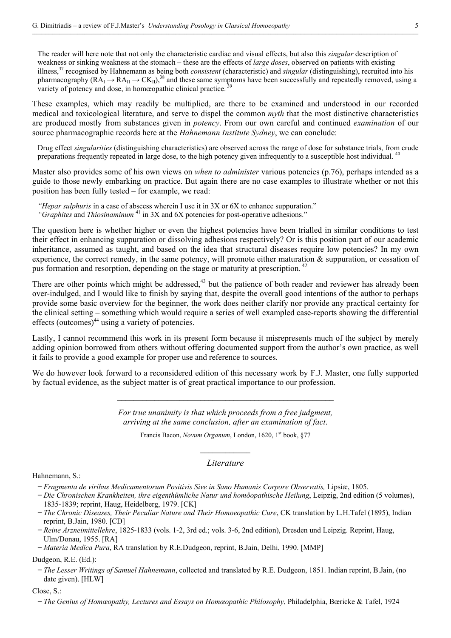The reader will here note that not only the characteristic cardiac and visual effects, but also this *singular* description of weakness or sinking weakness at the stomach – these are the effects of *large doses*, observed on patients with existing illness,37 recognised by Hahnemann as being both *consistent* (characteristic) and *singular* (distinguishing), recruited into his pharmacography ( $RA_{I} \rightarrow RA_{II} \rightarrow CK_{II}$ ),<sup>38</sup> and these same symptoms have been successfully and repeatedly removed, using a variety of potency and dose, in homeopathic clinical practice.<sup>39</sup>

These examples, which may readily be multiplied, are there to be examined and understood in our recorded medical and toxicological literature, and serve to dispel the common *myth* that the most distinctive characteristics are produced mostly from substances given in *potency*. From our own careful and continued *examination* of our source pharmacographic records here at the *Hahnemann Institute Sydney*, we can conclude:

Drug effect *singularities* (distinguishing characteristics) are observed across the range of dose for substance trials, from crude preparations frequently repeated in large dose, to the high potency given infrequently to a susceptible host individual. 40

Master also provides some of his own views on *when to administer* various potencies (p.76), perhaps intended as a guide to those newly embarking on practice. But again there are no case examples to illustrate whether or not this position has been fully tested – for example, we read:

*"Hepar sulphuris* in a case of abscess wherein I use it in 3X or 6X to enhance suppuration." *"Graphites* and *Thiosinaminum* 41 in 3X and 6X potencies for post-operative adhesions."

The question here is whether higher or even the highest potencies have been trialled in similar conditions to test their effect in enhancing suppuration or dissolving adhesions respectively? Or is this position part of our academic inheritance, assumed as taught, and based on the idea that structural diseases require low potencies? In my own experience, the correct remedy, in the same potency, will promote either maturation & suppuration, or cessation of pus formation and resorption, depending on the stage or maturity at prescription. 42

There are other points which might be addressed, $43$  but the patience of both reader and reviewer has already been over-indulged, and I would like to finish by saying that, despite the overall good intentions of the author to perhaps provide some basic overview for the beginner, the work does neither clarify nor provide any practical certainty for the clinical setting – something which would require a series of well exampled case-reports showing the differential effects (outcomes) $44$  using a variety of potencies.

Lastly, I cannot recommend this work in its present form because it misrepresents much of the subject by merely adding opinion borrowed from others without offering documented support from the author's own practice, as well it fails to provide a good example for proper use and reference to sources.

We do however look forward to a reconsidered edition of this necessary work by F.J. Master, one fully supported by factual evidence, as the subject matter is of great practical importance to our profession.

 $\mathcal{L}_\text{max}$  and the contract of the contract of the contract of the contract of the contract of the contract of the contract of the contract of the contract of the contract of the contract of the contract of the contrac

*For true unanimity is that which proceeds from a free judgment, arriving at the same conclusion, after an examination of fact*.

> Francis Bacon, *Novum Organum*, London, 1620, 1<sup>st</sup> book, §77  $\mathcal{L}_\text{max}$

## *Literature*

Hahnemann, S.:

- ̶*Fragmenta de viribus Medicamentorum Positivis Sive in Sano Humanis Corpore Observatis,* Lipsiæ, 1805.
- ̶*Die Chronischen Krankheiten, ihre eigenthümliche Natur und homöopathische Heilung*, Leipzig, 2nd edition (5 volumes), 1835-1839; reprint, Haug, Heidelberg, 1979. [CK]
- ̶*The Chronic Diseases, Their Peculiar Nature and Their Homoeopathic Cure*, CK translation by L.H.Tafel (1895), Indian reprint, B.Jain, 1980. [CD]
- ̶*Reine Arzneimittellehre*, 1825-1833 (vols. 1-2, 3rd ed.; vols. 3-6, 2nd edition), Dresden und Leipzig. Reprint, Haug, Ulm/Donau, 1955. [RA]
- ̶*Materia Medica Pura*, RA translation by R.E.Dudgeon, reprint, B.Jain, Delhi, 1990. [MMP]

Dudgeon, R.E. (Ed.):

̶*The Lesser Writings of Samuel Hahnemann*, collected and translated by R.E. Dudgeon, 1851. Indian reprint, B.Jain, (no date given). [HLW]

Close, S.:

<sup>̶</sup>*The Genius of Homœopathy, Lectures and Essays on Homœopathic Philosophy*, Philadelphia, Bœricke & Tafel, 1924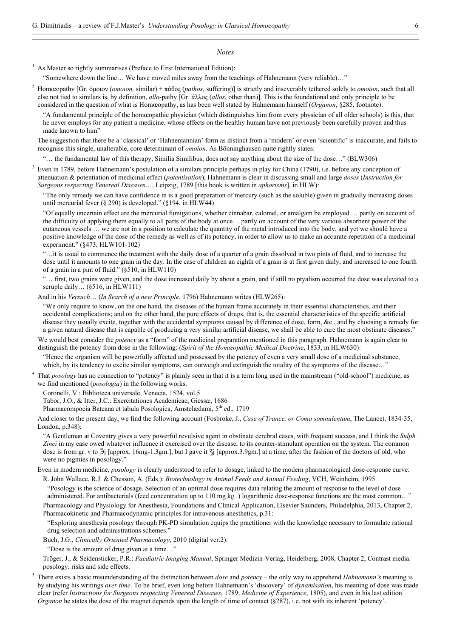#### *Notes*

1 As Master so rightly summarises (Preface to First International Edition):

l

3

5

"Somewhere down the line… We have moved miles away from the teachings of Hahnemann (very reliable)…"

2 Homœopathy [Gr. όμοιον (*omoion,* similar) + πάθος (*pathos,* suffering)] is strictly and inseverably tethered solely to *omoion*, such that all else not tied to similars is, by definition, *allo-*pathy [Gr. άλλος (*allos*, other than)]. This is the foundational and only principle to be considered in the question of what is Homœopathy, as has been well stated by Hahnemann himself (*Organon*, §285, footnote):

"A fundamental principle of the homœopathic physician (which distinguishes him from every physician of all older schools) is this, that he never employs for any patient a medicine, whose effects on the healthy human have not previously been carefully proven and thus made known to him"

The suggestion that there be a 'classical' or 'Hahnemannian' form as distinct from a 'modern' or even 'scientific' is inaccurate, and fails to recognise this single, unalterable, core determinant of *omoion*. As Bönninghausen quite rightly states:

"… the fundamental law of this therapy, Similia Similibus, does not say anything about the size of the dose…" (BLW306)

 Even in 1789, before Hahnemann's postulation of a similars principle perhaps in play for China (1790), i.e. before any conception of attenuation & potentiation of medicinal effect (*potentisation*), Hahnemann is clear in discussing small and large *doses* (*Instruction for Surgeons respecting Venereal Diseases*…, Leipzig, 1789 [this book is written in *aphorisms*], in HLW):

"The only remedy we can have confidence in is a good preparation of mercury (such as the soluble) given in gradually increasing doses until mercurial fever (§ 290) is developed." (§ 194, in HLW44)

"Of equally uncertain effect are the mercurial fumigations, whether cinnabar, calomel, or amalgam be employed ... partly on account of the difficulty of applying them equally to all parts of the body at once… partly on account of the very various absorbent power of the cutaneous vessels … we are not in a position to calculate the quantity of the metal introduced into the body, and yet we should have a positive knowledge of the dose of the remedy as well as of its potency, in order to allow us to make an accurate repetition of a medicinal experiment." (§473, HLW101-102)

"…it is usual to commence the treatment with the daily dose of a quarter of a grain dissolved in two pints of fluid, and to increase the dose until it amounts to one grain in the day. In the case of children an eighth of a grain is at first given daily, and increased to one fourth of a grain in a pint of fluid." (§510, in HLW110)

"… first, two grains were given, and the dose increased daily by about a grain, and if still no ptyalism occurred the dose was elevated to a scruple daily… (§516, in HLW111)

And in his *Versuch*… (*In Search of a new Principle*, 1796) Hahnemann writes (HLW265):

"We only require to know, on the one hand, the diseases of the human frame accurately in their essential characteristics, and their accidental complications; and on the other hand, the pure effects of drugs, that is, the essential characteristics of the specific artificial disease they usually excite, together with the accidental symptoms caused by difference of dose, form, &c., and by choosing a remedy for a given natural disease that is capable of producing a very similar artificial disease, we shall be able to cure the most obstinate diseases."

We would best consider the *potency* as a "form" of the medicinal preparation mentioned in this paragraph. Hahnemann is again clear to distinguish the potency from dose in the following: (*Spirit of the Homœopathic Medical Doctrine*, 1833, in HLW630):

"Hence the organism will be powerfully affected and possessed by the potency of even a very small dose of a medicinal substance, which, by its tendency to excite similar symptoms, can outweigh and extinguish the totality of the symptoms of the disease...'

<sup>4</sup> That *posology* has no connection to "potency" is plainly seen in that it is a term long used in the mainstream ("old-school") medicine, as we find mentioned (*posologia*) in the following works.

Coronelli, V.: Biblioteca universale, Venecia, 1524, vol.5

Tabor, J.O., & Itter, J.C.: Exercitationes Academicae, Giessæ, 1686

Pharmacompoeia Bateana et tabula Posologica, Amstelædami, 5<sup>th</sup> ed., 1719

And closer to the present day, we find the following account (Fosbroke, J., *Case of Trance, or Coma somnulentum*, The Lancet, 1834-35, London, p.348):

"A Gentleman at Coventry gives a very powerful revulsive agent in obstinate cerebral cases, with frequent success, and I think the *Sulph. Zinci* in my case owed whatever influence it exercised over the disease, to its counter-stimulant operation on the system. The common dose is from gr. v to  $\Im$  [approx. 16mg-1.3gm.], but I gave it  $\Im$  [approx.3.9gm.] at a time, after the fashion of the doctors of old, who were no pigmies in posology."

Even in modern medicine, *posology* is clearly understood to refer to dosage, linked to the modern pharmacological dose-response curve: R. John Wallace, R.J. & Chesson, A. (Eds.): *Biotechnology in Animal Feeds and Animal Feeding*, VCH, Weinheim, 1995

"Posology is the science of dosage. Selection of an optimal dose requires data relating the amount of response to the level of dose administered. For antibacterials (feed concentration up to 110 mg kg<sup>-1</sup>) logarithmic dose-response functions are the most common..."

Pharmacology and Physiology for Anesthesia, Foundations and Clinical Application, Elsevier Saunders, Philadelphia, 2013, Chapter 2, Pharmacokinetic and Pharmacodynamic principles for intravenous anesthetics, p.31:

"Exploring anesthesia posology through PK-PD simulation equips the practitioner with the knowledge necessary to formulate rational drug selection and administrations schemes."

Buch, J.G., *Clinically Oriented Pharmacology*, 2010 (digital ver.2):

"Dose is the amount of drug given at a time…"

Tröger, J., & Seidensticker, P.R.: *Paediatric Imaging Manual*, Springer Medizin-Verlag, Heidelberg, 2008, Chapter 2, Contrast media: posology, risks and side effects.

 There exists a basic misunderstanding of the distinction between *dose* and *potency* – the only way to apprehend *Hahnemann's* meaning is by studying his writings *over time*. To be brief, even long before Hahnemann's 'discovery' of *dynamisation*, his meaning of dose was made clear (refer *Instructions for Surgeons respecting Venereal Diseases*, 1789; *Medicine of Experience*, 1805), and even in his last edition *Organon* he states the dose of the magnet depends upon the length of time of contact (§287), i.e. not with its inherent 'potency'.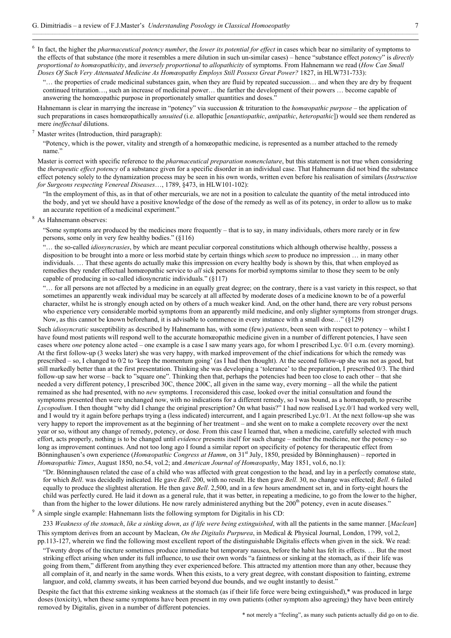$\frac{1}{6}$  In fact, the higher the *pharmaceutical potency number*, the *lower its potential for effect* in cases which bear no similarity of symptoms to the effects of that substance (the more it resembles a mere dilution in such un-similar cases) – hence "substance effect *potency*" is *directly proportional to homœopathicity*, and *inversely proportional* to *allopathicity* of symptoms. From Hahnemann we read (*How Can Small Doses Of Such Very Attenuated Medicine As Homœopathy Employs Still Possess Great Power?* 1827, in HLW731-733):

"… the properties of crude medicinal substances gain, when they are fluid by repeated succussion… and when they are dry by frequent continued trituration…, such an increase of medicinal power… the farther the development of their powers … become capable of answering the homœopathic purpose in proportionately smaller quantities and doses.'

Hahnemann is clear in marrying the increase in "potency" via succussion & trituration to the *homœopathic purpose* – the application of such preparations in cases homœopathically *unsuited* (i.e. allopathic [*enantiopathic*, *antipathic*, *heteropathic*]) would see them rendered as mere *ineffectual* dilutions.

#### Master writes (Introduction, third paragraph):

"Potency, which is the power, vitality and strength of a homœopathic medicine, is represented as a number attached to the remedy name."

Master is correct with specific reference to the *pharmaceutical preparation nomenclature*, but this statement is not true when considering the *therapeutic effect potency* of a substance given for a specific disorder in an individual case. That Hahnemann did not bind the substance effect potency solely to the dynamization process may be seen in his own words, written even before his realisation of similars (*Instruction for Surgeons respecting Venereal Diseases*…, 1789, §473, in HLW101-102):

"In the employment of this, as in that of other mercurials, we are not in a position to calculate the quantity of the metal introduced into the body, and yet we should have a positive knowledge of the dose of the remedy as well as of its potency, in order to allow us to make an accurate repetition of a medicinal experiment."

#### 8 As Hahnemann observes:

7

"Some symptoms are produced by the medicines more frequently – that is to say, in many individuals, others more rarely or in few persons, some only in very few healthy bodies." (§116)

"… the so-called *idiosyncrasies*, by which are meant peculiar corporeal constitutions which although otherwise healthy, possess a disposition to be brought into a more or less morbid state by certain things which *seem* to produce no impression … in many other individuals. … That these agents do actually make this impression on every healthy body is shown by this, that when employed as remedies they render effectual homœopathic service to *all* sick persons for morbid symptoms similar to those they seem to be only capable of producing in so-called idiosyncratic individuals."  $(8117)$ 

"… for all persons are not affected by a medicine in an equally great degree; on the contrary, there is a vast variety in this respect, so that sometimes an apparently weak individual may be scarcely at all affected by moderate doses of a medicine known to be of a powerful character, whilst he is strongly enough acted on by others of a much weaker kind. And, on the other hand, there are very robust persons who experience very considerable morbid symptoms from an apparently mild medicine, and only slighter symptoms from stronger drugs. Now, as this cannot be known beforehand, it is advisable to commence in every instance with a small dose…" (§129)

Such *idiosyncratic* susceptibility as described by Hahnemann has, with some (few) *patients*, been seen with respect to potency – whilst I have found most patients will respond well to the accurate homœopathic medicine given in a number of different potencies, I have seen cases where *one* potency alone acted – one example is a case I saw many years ago, for whom I prescribed Lyc. 0/1 o.m. (every morning). At the first follow-up (3 weeks later) she was very happy, with marked improvement of the chief indications for which the remedy was prescribed – so, I changed to 0/2 to 'keep the momentum going' (as I had then thought). At the second follow-up she was not as good, but still markedly better than at the first presentation. Thinking she was developing a 'tolerance' to the preparation, I prescribed 0/3. The third follow-up saw her worse – back to "square one". Thinking then that, perhaps the potencies had been too close to each other – that she needed a very different potency, I prescribed 30C, thence 200C, all given in the same way, every morning – all the while the patient remained as she had presented, with no *new* symptoms. I reconsidered this case, looked over the initial consultation and found the symptoms presented then were unchanged now, with no indications for a different remedy, so I was bound, as a homœopath, to prescribe *Lycopodium*. I then thought "why did I change the original prescription? On what basis?" I had now realised Lyc.0/1 had worked very well, and I would try it again before perhaps trying a (less indicated) intercurrent, and I again prescribed Lyc.0/1. At the next follow-up she was very happy to report the improvement as at the beginning of her treatment – and she went on to make a complete recovery over the next year or so, without any change of remedy, potency, or dose. From this case I learned that, when a medicine, carefully selected with much effort, acts properly, nothing is to be changed until *evidence* presents itself for such change – neither the medicine, nor the potency – so long as improvement continues. And not too long ago I found a similar report on specificity of potency for therapeutic effect from Bönninghausen's own experience (*Homœopathic Congress at Hamm*, on 31<sup>st</sup> July, 1850, presided by Bönninghausen) – reported in *Homœopathic Times*, August 1850, no.54, vol.2; and *American Journal of Homœopathy*, May 1851, vol.6, no.1):

"Dr. Bönninghausen related the case of a child who was affected with great congestion to the head, and lay in a perfectly comatose state, for which *Bell*. was decidedly indicated. He gave *Bell*. 200, with no result. He then gave *Bell*. 30, no change was effected; *Bell*. 6 failed equally to produce the slightest alteration. He then gave *Bell*. 2,500, and in a few hours amendment set in, and in forty-eight hours the child was perfectly cured. He laid it down as a general rule, that it was better, in repeating a medicine, to go from the lower to the higher, than from the higher to the lower dilutions. He now rarely administered anything but the 200<sup>th</sup> potency, even in acute diseases."

<sup>9</sup> A simple single example: Hahnemann lists the following symptom for Digitalis in his CD:

233 Weakness of the stomach, like a sinking down, as if life were being extinguished, with all the patients in the same manner. [Maclean] This symptom derives from an account by Maclean, *On the Digitalis Purpurea*, in Medical & Physical Journal, London, 1799, vol.2, pp.113-127, wherein we find the following most excellent report of the distinguishable Digitalis effects when given in the sick. We read:

"Twenty drops of the tincture sometimes produce immediate but temporary nausea, before the habit has felt its effects. … But the most striking effect arising when under its full influence, to use their own words "a faintness or sinking at the stomach, as if their life was going from them," different from anything they ever experienced before. This attracted my attention more than any other, because they all complain of it, and nearly in the same words. When this exists, to a very great degree, with constant disposition to fainting, extreme languor, and cold, clammy sweats, it has been carried beyond due bounds, and we ought instantly to desist."

Despite the fact that this extreme sinking weakness at the stomach (as if their life force were being extinguished),\* was produced in large doses (toxicity), when these same symptoms have been present in my own patients (other symptom also agreeing) they have been entirely removed by Digitalis, given in a number of different potencies.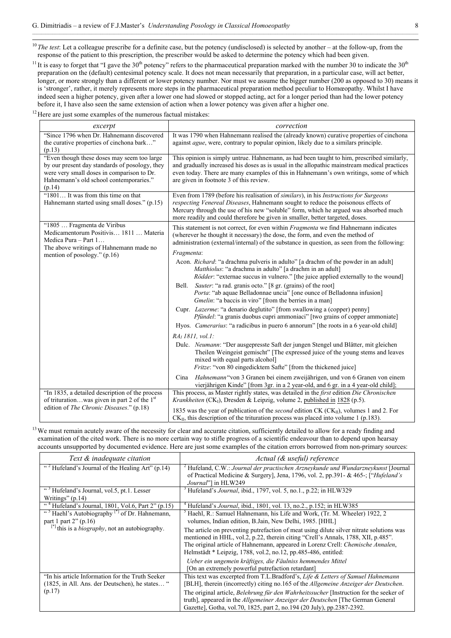<sup>10</sup>*The test*: Let a colleague prescribe for a definite case, but the potency (undisclosed) is selected by another – at the follow-up, from the response of the patient to this prescription, the prescriber would be asked to determine the potency which had been given.

<sup>11</sup> It is easy to forget that "I gave the 30<sup>th</sup> potency" refers to the pharmaceutical preparation marked with the number 30 to indicate the 30<sup>th</sup> preparation on the (default) centesimal potency scale. It does not mean necessarily that preparation, in a particular case, will act better, longer, or more strongly than a different or lower potency number. Nor must we assume the bigger number (200 as opposed to 30) means it is 'stronger', rather, it merely represents more steps in the pharmaceutical preparation method peculiar to Homœopathy. Whilst I have indeed seen a higher potency, given after a lower one had slowed or stopped acting, act for a longer period than had the lower potency before it, I have also seen the same extension of action when a lower potency was given after a higher one.

 $12$  Here are just some examples of the numerous factual mistakes:

| excerpt                                                                                                                                                                                          | correction                                                                                                                                                                                                                                                                                                                                                  |
|--------------------------------------------------------------------------------------------------------------------------------------------------------------------------------------------------|-------------------------------------------------------------------------------------------------------------------------------------------------------------------------------------------------------------------------------------------------------------------------------------------------------------------------------------------------------------|
| "Since 1796 when Dr. Hahnemann discovered<br>the curative properties of cinchona bark"<br>(p.13)                                                                                                 | It was 1790 when Hahnemann realised the (already known) curative properties of cinchona<br>against <i>ague</i> , were, contrary to popular opinion, likely due to a similars principle.                                                                                                                                                                     |
| "Even though these doses may seem too large<br>by our present day standards of posology, they<br>were very small doses in comparison to Dr.<br>Hahnemann's old school contemporaries."<br>(p.14) | This opinion is simply untrue. Hahnemann, as had been taught to him, prescribed similarly,<br>and gradually increased his doses as is usual in the allopathic mainstream medical practices<br>even today. There are many examples of this in Hahnemann's own writings, some of which<br>are given in footnote 3 of this review.                             |
| "1801 It was from this time on that<br>Hahnemann started using small doses." (p.15)                                                                                                              | Even from 1789 (before his realisation of similars), in his Instructions for Surgeons<br><i>respecting Venereal Diseases</i> , Hahnemann sought to reduce the poisonous effects of<br>Mercury through the use of his new "soluble" form, which he argued was absorbed much<br>more readily and could therefore be given in smaller, better targeted, doses. |
| "1805  Fragmenta de Viribus<br>Medicamentorum Positivis 1811  Materia<br>Medica Pura - Part 1<br>The above writings of Hahnemann made no                                                         | This statement is not correct, for even within Fragmenta we find Hahnemann indicates<br>(wherever he thought it necessary) the dose, the form, and even the method of<br>administration (external/internal) of the substance in question, as seen from the following:<br>Fragmenta:                                                                         |
| mention of posology." $(p.16)$                                                                                                                                                                   | Acon. <i>Richard</i> : "a drachma pulveris in adulto" [a drachm of the powder in an adult]<br>Matthiolus: "a drachma in adulto" [a drachm in an adult]<br><i>Rödder</i> : "externae succus in vulnero." [the juice applied externally to the wound]                                                                                                         |
|                                                                                                                                                                                                  | Sauter: "a rad. granis octo." [8 gr. (grains) of the root]<br>Bell.<br>Porta: "ab aquae Belladonnae uncia" [one ounce of Belladonna infusion]<br>Gmelin: "a baccis in viro" [from the berries in a man]                                                                                                                                                     |
|                                                                                                                                                                                                  | Cupr. <i>Lazerme</i> : "a denario deglutito" [from swallowing a (copper) penny]<br>Pfündel: "a granis duobus cupri ammoniaci" [two grains of copper ammoniate]<br>Hyos. Camerarius: "a radicibus in puero 6 annorum" [the roots in a 6 year-old child]                                                                                                      |
|                                                                                                                                                                                                  | $RAI$ 1811, vol.1:                                                                                                                                                                                                                                                                                                                                          |
|                                                                                                                                                                                                  | Dulc. Neumann: "Der ausgepresste Saft der jungen Stengel und Blätter, mit gleichen<br>Theilen Weingeist gemischt" [The expressed juice of the young stems and leaves<br>mixed with equal parts alcohol]<br><i>Fritze</i> : "von 80 eingedicktem Safte" [from the thickened juice]                                                                           |
|                                                                                                                                                                                                  | Cina Hahnemann "von 3 Granen bei einem zweijährigen, und von 6 Granen von einem<br>vierjährigen Kinde" [from 3gr. in a 2 year-old, and 6 gr. in a 4 year-old child];                                                                                                                                                                                        |
| "In 1835, a detailed description of the process<br>of triturationwas given in part 2 of the $1st$<br>edition of The Chronic Diseases." (p.18)                                                    | This process, as Master rightly states, was detailed in the first edition Die Chronischen<br>Krankheiten (CK <sub>1</sub> ), Dresden & Leipzig, volume 2, published in 1828 (p.5).                                                                                                                                                                          |
|                                                                                                                                                                                                  | 1835 was the year of publication of the <i>second</i> edition CK (CK <sub>II</sub> ), volumes 1 and 2. For<br>$CK_{II}$ , this description of the trituration process was placed into volume 1 (p.183).                                                                                                                                                     |

<sup>13</sup> We must remain acutely aware of the necessity for clear and accurate citation, sufficiently detailed to allow for a ready finding and examination of the cited work. There is no more certain way to stifle progress of a scientific endeavour than to depend upon hearsay accounts unsupported by documented evidence. Here are just some examples of the citation errors borrowed from non-primary sources:

| Text & inadequate citation                                                                           | Actual (& useful) reference                                                                                                                                                                                                                                                                                                         |
|------------------------------------------------------------------------------------------------------|-------------------------------------------------------------------------------------------------------------------------------------------------------------------------------------------------------------------------------------------------------------------------------------------------------------------------------------|
| " <sup>2</sup> Hufeland's Journal of the Healing Art" (p.14)                                         | <sup>2</sup> Hufeland, C.W.: <i>Journal der practischen Arzneykunde und Wundarzneykunst</i> [Journal]<br>of Practical Medicine & Surgery], Jena, 1796, vol. 2, pp.391- & 465-; ["Hufeland's"<br>Journal"] in HLW249                                                                                                                 |
| " <sup>3</sup> Hufeland's Journal, vol.5, pt.1. Lesser                                               | Hufeland's Journal, ibid., 1797, vol. 5, no.1., p.22; in HLW329                                                                                                                                                                                                                                                                     |
| Writings" $(p.14)$                                                                                   |                                                                                                                                                                                                                                                                                                                                     |
| " <sup>4</sup> Hufeland's Journal, 1801, Vol.6, Part 2" $(p.15)$                                     | Hufeland's <i>Journal</i> , ibid., 1801, vol. 13, no.2., p.152; in HLW385                                                                                                                                                                                                                                                           |
| " <sup>5</sup> Haehl's Autobiography <sup>[*]</sup> of Dr. Hahnemann,<br>part 1 part $2$ " (p.16)    | Haehl, R.: Samuel Hahnemann, his Life and Work, (Tr. M. Wheeler) 1922, 2<br>volumes, Indian edition, B.Jain, New Delhi, 1985. [HHL]                                                                                                                                                                                                 |
| $[$ <sup>*1</sup> this is a <i>biography</i> , not an autobiography.                                 | The article on preventing put refaction of meat using dilute silver nitrate solutions was<br>mentioned in HHL, vol.2, p.22, therein citing "Crell's Annals, 1788, XII, p.485".<br>The original article of Hahnemann, appeared in Lorenz Crell: Chemische Annalen,<br>Helmstädt * Leipzig, 1788, vol.2, no.12, pp.485-486, entitled: |
|                                                                                                      | Ueber ein ungemein kräftiges, die Fäulniss hemmendes Mittel<br>[On an extremely powerful putrefaction retardant]                                                                                                                                                                                                                    |
| "In his article Information for the Truth Seeker"<br>(1825, in All. Ans. der Deutschen), he states " | This text was excerpted from T.L.Bradford's, Life & Letters of Samuel Hahnemann<br>[BLH], therein (incorrectly) citing no.165 of the <i>Allgemeine Anzeiger der Deutschen</i> .                                                                                                                                                     |
| (p.17)                                                                                               | The original article, <i>Belehrung für den Wahrheitssucher</i> [Instruction for the seeker of<br>truth], appeared in the Allgemeiner Anzeiger der Deutschen [The German General<br>Gazette], Gotha, vol.70, 1825, part 2, no.194 (20 July), pp.2387-2392.                                                                           |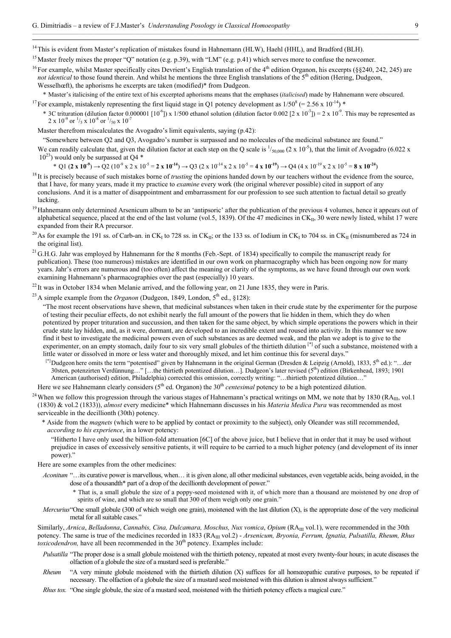<sup>14</sup> This is evident from Master's replication of mistakes found in Hahnemann (HLW), Haehl (HHL), and Bradford (BLH).

- <sup>15</sup> Master freely mixes the proper "Q" notation (e.g. p.39), with "LM" (e.g. p.41) which serves more to confuse the newcomer.
- <sup>16</sup> For example, whilst Master specifically cites Devrient's English translation of the 4<sup>th</sup> edition Organon, his excerpts ( $\S$ 240, 242, 245) are *not identical* to those found therein. And whilst he mentions the three English translations of the 5<sup>th</sup> edition (Hering, Dudgeon, Wesselhœft), the aphorisms he excerpts are taken (modified)\* from Dudgeon.
- \* Master's italicising of the entire text of his excerpted aphorisms means that the emphases (*italicised*) made by Hahnemann were obscured.
- <sup>17</sup> For example, mistakenly representing the first liquid stage in Q1 potency development as  $1/50^8$  (= 2.56 x 10<sup>-14</sup>) \*
	- \* 3C trituration (dilution factor 0.000001 [10<sup>-6</sup>]) x 1/500 ethanol solution (dilution factor 0.002 [2 x 10<sup>-3</sup>]) = 2 x 10<sup>-9</sup>. This may be represented as 2 x 10<sup>-9</sup> or  $\frac{1}{5}$  x 10<sup>-8</sup> or  $\frac{1}{50}$  x 10<sup>-7</sup>

Master therefrom miscalculates the Avogadro's limit equivalents, saying (p.42):

"Somewhere between Q2 and Q3, Avogadro's number is surpassed and no molecules of the medicinal substance are found."

We can readily calculate that, given the dilution factor at each step on the Q scale is  $\frac{1}{50,000}$  (2 x 10<sup>-5</sup>), that the limit of Avogadro (6.022 x  $10^{23}$ ) would only be surpassed at O4  $*$ 

\* Q1 (**2** x 10<sup>-9</sup>)  $\rightarrow$  Q2 (10<sup>-9</sup> x 2 x 10<sup>-5</sup> = **2** x 10<sup>-14</sup>)  $\rightarrow$  Q3 (2 x 10<sup>-14</sup> x 2 x 10<sup>-5</sup> = **4 x 10<sup>-19</sup>)**  $\rightarrow$  Q4 (4 x 10<sup>-19</sup> x 2 x 10<sup>-5</sup> = **8 x 10<sup>-24</sup>)** 

- <sup>18</sup> It is precisely because of such mistakes borne of *trusting* the opinions handed down by our teachers without the evidence from the source, that I have, for many years, made it my practice to *examine* every work (the original wherever possible) cited in support of any conclusions. And it is a matter of disappointment and embarrassment for our profession to see such attention to factual detail so greatly lacking.
- <sup>19</sup> Hahnemann only determined Arsenicum album to be an 'antipsoric' after the publication of the previous 4 volumes, hence it appears out of alphabetical sequence, placed at the end of the last volume (vol.5, 1839). Of the 47 medicines in  $CK_{II}$ , 30 were newly listed, whilst 17 were expanded from their RA precursor.
- <sup>20</sup> As for example the 191 ss. of Carb-an. in CK<sub>I</sub> to 728 ss. in CK<sub>II</sub>; or the 133 ss. of Iodium in CK<sub>I</sub> to 704 ss. in CK<sub>II</sub> (misnumbered as 724 in the original list).
- <sup>21</sup> G.H.G. Jahr was employed by Hahnemann for the 8 months (Feb.-Sept. of 1834) specifically to compile the manuscript ready for publication). These (too numerous) mistakes are identified in our own work on pharmacography which has been ongoing now for many years. Jahr's errors are numerous and (too often) affect the meaning or clarity of the symptoms, as we have found through our own work examining Hahnemann's pharmacographies over the past (especially) 10 years.

<sup>22</sup> It was in October 1834 when Melanie arrived, and the following year, on 21 June 1835, they were in Paris.

<sup>23</sup> A simple example from the *Organon* (Dudgeon, 1849, London,  $5<sup>th</sup>$  ed., §128):

"The most recent observations have shewn, that medicinal substances when taken in their crude state by the experimenter for the purpose of testing their peculiar effects, do not exhibit nearly the full amount of the powers that lie hidden in them, which they do when potentized by proper trituration and succussion, and then taken for the same object, by which simple operations the powers which in their crude state lay hidden, and, as it were, dormant, are developed to an incredible extent and roused into activity. In this manner we now find it best to investigate the medicinal powers even of such substances as are deemed weak, and the plan we adopt is to give to the experimenter, on an empty stomach, daily four to six very small globules of the thirtieth dilution [\*] of such a substance, moistened with a little water or dissolved in more or less water and thoroughly mixed, and let him continue this for several days."

[\*] Dudgeon here omits the term "potentised" given by Hahnemann in the original German (Dresden & Leipzig (Arnold), 1833, 5<sup>th</sup> ed.): "...der 30sten, potenzirten Verdünnung…" […the thirtieth potentized dilution…]. Dudgeon's later revised (5<sup>th</sup>) edition (Birkenhead, 1893; 1901 American (authorised) edition, Philadelphia) corrected this omission, correctly writing: "…thirtieth potentized dilution…"

Here we see Hahnemann clearly considers (5<sup>th</sup> ed. Organon) the 30<sup>th</sup> *centesimal* potency to be a high potentized dilution.

- <sup>24</sup> When we follow this progression through the various stages of Hahnemann's practical writings on MM, we note that by 1830 (RA $_{\text{III}}$ , vol.1 (1830) & vol.2 (1833)), *almost* every medicine\* which Hahnemann discusses in his *Materia Medica Pura* was recommended as most serviceable in the decillionth (30th) potency.
	- \* Aside from the *magnets* (which were to be applied by contact or proximity to the subject), only Oleander was still recommended, *according to his experience*, in a lower potency:
		- "Hitherto I have only used the billion-fold attenuation [6C] of the above juice, but I believe that in order that it may be used without prejudice in cases of excessively sensitive patients, it will require to be carried to a much higher potency (and development of its inner power)."
	- Here are some examples from the other medicines:
		- *Aconitum* "…its curative power is marvellous, when… it is given alone, all other medicinal substances, even vegetable acids, being avoided, in the dose of a thousandth\* part of a drop of the decillionth development of power."
			- \* That is, a small globule the size of a poppy-seed moistened with it, of which more than a thousand are moistened by one drop of spirits of wine, and which are so small that 300 of them weigh only one grain."
		- *Mercurius* "One small globule (300 of which weigh one grain), moistened with the last dilution (X), is the appropriate dose of the very medicinal metal for all suitable cases."

Similarly, Arnica, Belladonna, Cannabis, Cina, Dulcamara, Moschus, Nux vomica, Opium (RA<sub>III</sub> vol.1), were recommended in the 30th potency. The same is true of the medicines recorded in 1833 (RA<sub>III</sub> vol.2) - *Arsenicum, Bryonia, Ferrum, Ignatia, Pulsatilla, Rheum, Rhus*  $\frac{1}{\pi}$  *toxicodendron*, have all been recommended in the 30<sup>th</sup> potency. Examples include:

- *Pulsatilla* "The proper dose is a small globule moistened with the thirtieth potency, repeated at most every twenty-four hours; in acute diseases the olfaction of a globule the size of a mustard seed is preferable."
- *Rheum* "A very minute globule moistened with the thirtieth dilution (X) suffices for all homœopathic curative purposes, to be repeated if necessary. The olfaction of a globule the size of a mustard seed moistened with this dilution is almost always sufficient."
- *Rhus tox.* "One single globule, the size of a mustard seed, moistened with the thirtieth potency effects a magical cure."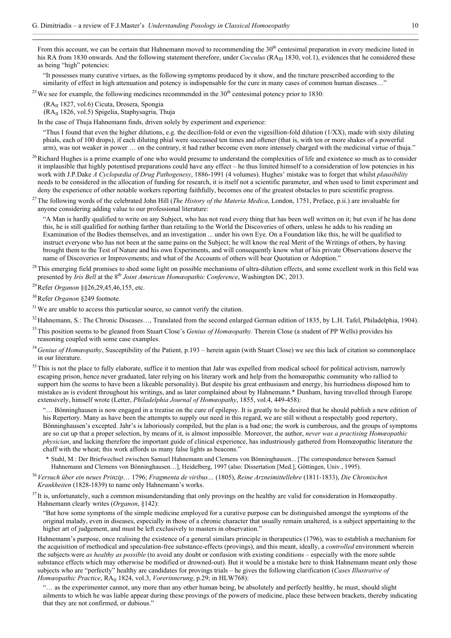From this account, we can be certain that Hahnemann moved to recommending the  $30<sup>th</sup>$  centesimal preparation in every medicine listed in his RA from 1830 onwards. And the following statement therefore, under *Cocculus* (RA<sub>III</sub> 1830, vol.1), evidences that he considered these as being "high" potencies:

"It possesses many curative virtues, as the following symptoms produced by it show, and the tincture prescribed according to the similarity of effect in high attenuation and potency is indispensable for the cure in many cases of common human diseases..."

<sup>25</sup> We see for example, the following medicines recommended in the  $30<sup>th</sup>$  centesimal potency prior to 1830:

(RAII 1827, vol.6) Cicuta, Drosera, Spongia

l

(RAII 1826, vol.5) Spigelia, Staphysagria, Thuja

In the case of Thuja Hahnemann finds, driven solely by experiment and experience:

"Thus I found that even the higher dilutions, e.g. the decillion-fold or even the vigesillion-fold dilution  $(1/XX)$ , made with sixty diluting phials, each of 100 drops), if each diluting phial were succussed ten times and oftener (that is, with ten or more shakes of a powerful arm), was not weaker in power … on the contrary, it had rather become even more intensely charged with the medicinal virtue of thuja."

<sup>26</sup> Richard Hughes is a prime example of one who would presume to understand the complexities of life and existence so much as to consider it implausible that highly potentised preparations could have any effect – he thus limited himself to a consideration of low potencies in his work with J.P.Dake *A Cyclopædia of Drug Pathogenesy*, 1886-1991 (4 volumes). Hughes' mistake was to forget that whilst *plausibility* needs to be considered in the allocation of funding for research, it is itself not a scientific parameter, and when used to limit experiment and deny the experience of other notable workers reporting faithfully, becomes one of the greatest obstacles to pure scientific progress.

27 The following words of the celebrated John Hill (*The History of the Materia Medica*, London, 1751, Preface, p.ii.) are invaluable for anyone considering adding value to our professional literature:

"A Man is hardly qualified to write on any Subject, who has not read every thing that has been well written on it; but even if he has done this, he is still qualified for nothing farther than retailing to the World the Discoveries of others, unless he adds to his reading an Examination of the Bodies themselves, and an investigation ... under his own Eye. On a Foundation like this, he will be qualified to instruct everyone who has not been at the same pains on the Subject; he will know the real Merit of the Writings of others, by having brought them to the Test of Nature and his own Experiments, and will consequently know what of his private Observations deserve the name of Discoveries or Improvements; and what of the Accounts of others will bear Quotation or Adoption."

 $^{28}$ This emerging field promises to shed some light on possible mechanisms of ultra-dilution effects, and some excellent work in this field was presented by *Iris Bell* at the 8<sup>th</sup> *Joint American Homœopathic Conference*, Washington DC, 2013.

29 Refer *Organon* §§26,29,45,46,155, etc.

30 Refer *Organon* §249 footnote.

 $31$  We are unable to access this particular source, so cannot verify the citation.

<sup>32</sup> Hahnemann, S.: The Chronic Diseases..., Translated from the second enlarged German edition of 1835, by L.H. Tafel, Philadelphia, 1904).

<sup>33</sup> This position seems to be gleaned from Stuart Close's *Genius of Homœopathy*. Therein Close (a student of PP Wells) provides his reasoning coupled with some case examples.

<sup>34</sup> Genius of Homœopathy, Susceptibility of the Patient, p.193 – herein again (with Stuart Close) we see this lack of citation so commonplace in our literature.

<sup>35</sup> This is not the place to fully elaborate, suffice it to mention that Jahr was expelled from medical school for political activism, narrowly escaping prison, hence never graduated, later relying on his literary work and help from the homœopathic community who rallied to support him (he seems to have been a likeable personality). But despite his great enthusiasm and energy, his hurriedness disposed him to mistakes as is evident throughout his writings, and as later complained about by Hahnemann.\* Dunham, having travelled through Europe extensively, himself wrote (Letter, *Philadelphia Journal of Homœopathy*, 1855, vol.4, 449-458):

"… Bönninghausen is now engaged in a treatise on the cure of epilepsy. It is greatly to be desired that he should publish a new edition of his Repertory. Many as have been the attempts to supply our need in this regard, we are still without a respectably good repertory, Bönninghausen's excepted. Jahr's is laboriously compiled, but the plan is a bad one; the work is cumberous, and the groups of symptoms are so cut up that a proper selection, by means of it, is almost impossible. Moreover, the author, *never was a practising Homœopathic physician*, and lacking therefore the important guide of clinical experience, has industriously gathered from Homœopathic literature the chaff with the wheat; this work affords us many false lights as beacons."

\* Stahl, M.: Der Briefwechsel zwischen Samuel Hahnemann und Clemens von Bönninghausen... [The correspondence between Samuel Hahnemann and Clemens von Bönninghausen…], Heidelberg, 1997 (also: Dissertation [Med.], Göttingen, Univ., 1995).

<sup>36</sup>*Versuch über ein neues Prinzip*… 1796; *Fragmenta de viribus…* (1805), *Reine Arzneimittellehre* (1811-1833), *Die Chronischen Krankheiten* (1828-1839) to name only Hahnemann's works.

 $37$  It is, unfortunately, such a common misunderstanding that only provings on the healthy are valid for consideration in Homœopathy. Hahnemann clearly writes (*Organon*, §142):

"But how some symptoms of the simple medicine employed for a curative purpose can be distinguished amongst the symptoms of the original malady, even in diseases, especially in those of a chronic character that usually remain unaltered, is a subject appertaining to the higher art of judgement, and must be left exclusively to masters in observation."

Hahnemann's purpose, once realising the existence of a general similars principle in therapeutics (1796), was to establish a mechanism for the acquisition of methodical and speculation-free substance-effects (provings), and this meant, ideally, a *controlled* environment wherein the subjects were *as healthy as possible* (to avoid any doubt or confusion with existing conditions – especially with the more subtle substance effects which may otherwise be modified or drowned-out). But it would be a mistake here to think Hahnemann meant only those subjects who are "perfectly" healthy are candidates for provings trials – he gives the following clarification (*Cases Illustrative of Homœopathic Practice*,  $RA_{II}$  1824, vol.3, *Vorerinnerung*, p.29; in HLW768):

"… as the experimenter cannot, any more than any other human being, be absolutely and perfectly healthy, he must, should slight ailments to which he was liable appear during these provings of the powers of medicine, place these between brackets, thereby indicating that they are not confirmed, or dubious."